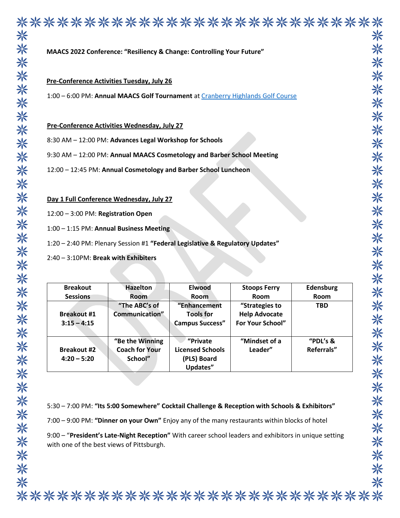|                                      |                                                                               | MAACS 2022 Conference: "Resiliency & Change: Controlling Your Future" |                                                                                                |                    |
|--------------------------------------|-------------------------------------------------------------------------------|-----------------------------------------------------------------------|------------------------------------------------------------------------------------------------|--------------------|
|                                      | <b>Pre-Conference Activities Tuesday, July 26</b>                             |                                                                       |                                                                                                |                    |
|                                      |                                                                               |                                                                       | 1:00 - 6:00 PM: Annual MAACS Golf Tournament at Cranberry Highlands Golf Course                |                    |
|                                      | Pre-Conference Activities Wednesday, July 27                                  |                                                                       |                                                                                                |                    |
|                                      | 8:30 AM - 12:00 PM: Advances Legal Workshop for Schools                       |                                                                       |                                                                                                |                    |
|                                      | 9:30 AM - 12:00 PM: Annual MAACS Cosmetology and Barber School Meeting        |                                                                       |                                                                                                |                    |
|                                      | 12:00 - 12:45 PM: Annual Cosmetology and Barber School Luncheon               |                                                                       |                                                                                                |                    |
|                                      |                                                                               |                                                                       |                                                                                                |                    |
|                                      | Day 1 Full Conference Wednesday, July 27                                      |                                                                       |                                                                                                |                    |
| 12:00 - 3:00 PM: Registration Open   |                                                                               |                                                                       |                                                                                                |                    |
|                                      |                                                                               |                                                                       |                                                                                                |                    |
|                                      | 1:00 - 1:15 PM: Annual Business Meeting                                       |                                                                       |                                                                                                |                    |
|                                      | 1:20 - 2:40 PM: Plenary Session #1 "Federal Legislative & Regulatory Updates" |                                                                       |                                                                                                |                    |
| 2:40 - 3:10PM: Break with Exhibiters |                                                                               |                                                                       |                                                                                                |                    |
|                                      |                                                                               |                                                                       |                                                                                                |                    |
| <b>Breakout</b>                      | <b>Hazelton</b>                                                               | <b>Elwood</b>                                                         | <b>Stoops Ferry</b>                                                                            | Edensburg          |
| <b>Sessions</b>                      | Room<br>"The ABC's of                                                         | Room                                                                  | Room                                                                                           | Room<br><b>TBD</b> |
| <b>Breakout #1</b>                   | Communication"                                                                | "Enhancement<br><b>Tools for</b>                                      | "Strategies to<br><b>Help Advocate</b>                                                         |                    |
| $3:15 - 4:15$                        |                                                                               | <b>Campus Success"</b>                                                | For Your School"                                                                               |                    |
|                                      | "Be the Winning                                                               | "Private                                                              | "Mindset of a                                                                                  | "PDL's &           |
| <b>Breakout #2</b><br>$4:20 - 5:20$  | <b>Coach for Your</b><br>School"                                              | <b>Licensed Schools</b><br>(PLS) Board<br>Updates"                    | Leader"                                                                                        | Referrals"         |
|                                      |                                                                               |                                                                       |                                                                                                |                    |
|                                      |                                                                               |                                                                       |                                                                                                |                    |
|                                      |                                                                               |                                                                       | 5:30 - 7:00 PM: "Its 5:00 Somewhere" Cocktail Challenge & Reception with Schools & Exhibitors" |                    |